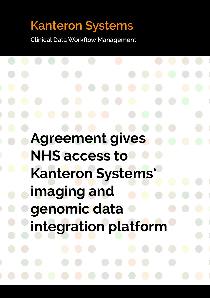# **Kanteron Systems**

**Clinical Data Workflow Management**

**Agreement gives NHS access to Kanteron Systems' imaging and genomic data integration platform**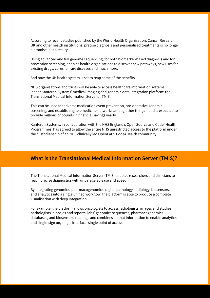According to recent studies published by the World Health Organisation, Cancer Research UK and other health institutions, precise diagnosis and personalised treatments is no longer a promise, but a reality.

Using advanced and full genome sequencing, for both biomarker-based diagnosis and for prevention screening, enables health organisations to discover new pathways, new uses for existing drugs, cures for rare diseases and much more.

And now the UK health system is set to reap some of the benefits.

NHS organisations and trusts will be able to access healthcare information systems leader Kanteron Systems' medical imaging and genomic data integration platform: the Translational Medical Information Server or TMIS.

This can be used for adverse medication event prevention, pre-operative genomic screening, and establishing telemedicine networks among other things – and is expected to provide millions of pounds in financial savings yearly.

Kanteron Systems, in collaboration with the NHS England's Open Source and Code4Health Programmes, has agreed to allow the entire NHS unrestricted access to the platform under the custodianship of an NHS clinically led OpenPACS Code4Health community.

## **What is the Translational Medical Information Server (TMIS)?**

The Translational Medical Information Server (TMIS) enables researchers and clinicians to reach precise diagnostics with unparalleled ease and speed.

By integrating genomics, pharmacogenomics, digital pathology, radiology, biosensors, and analytics into a single unified workflow, the platform is able to produce a complete visualisation with deep integration.

For example, the platform allows oncologists to access radiologists' images and studies, pathologists' biopsies and reports, labs' genomics sequences, pharmacogenomics databases, and biosensors' readings and combines all that information to enable analytics and single-sign on, single interface, single point of access.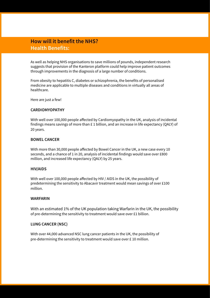# **How will it benefit the NHS? Health Benefits:**

As well as helping NHS organisations to save millions of pounds, independent research suggests that provision of the Kanteron platform could help improve patient outcomes through improvements in the diagnosis of a large number of conditions.

From obesity to hepatitis C, diabetes or schizophrenia, the benefits of personalised medicine are applicable to multiple diseases and conditions in virtually all areas of healthcare.

Here are just a few!

#### **CARDIOMYOPATHY**

With well over 100,000 people affected by Cardiomyopathy in the UK, analysis of incidental findings means savings of more than  $E 1$  billion, and an increase in life expectancy (QALY) of 20 years.

#### **BOWEL CANCER**

With more than 30,000 people affected by Bowel Cancer in the UK, a new case every 10 seconds, and a chance of 1 in 20, analysis of incidental findings would save over £800 million, and increased life expectancy (QALY) by 25 years.

#### **HIV/AIDS**

With well over 100,000 people affected by HIV / AIDS in the UK, the possibility of predetermining the sensitivity to Abacavir treatment would mean savings of over £100 million.

#### **WARFARIN**

With an estimated 1% of the UK population taking Warfarin in the UK, the possibility of pre-determining the sensitivity to treatment would save over £1 billion.

#### **LUNG CANCER (NSC)**

With over 44,000 advanced NSC lung cancer patients in the UK, the possibility of pre-determining the sensitivity to treatment would save over £ 10 million.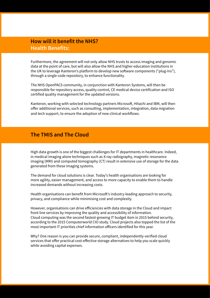## **How will it benefit the NHS? Health Benefits:**

Furthermore, the agreement will not only allow NHS trusts to access imaging and genomic data at the point of care, but will also allow the NHS and higher education institutions in the UK to leverage Kanteron's platform to develop new software components ("plug-ins"), through a single code repository, to enhance functionality.

The NHS OpenPACS community, in conjunction with Kanteron Systems, will then be responsible for repository access, quality control, CE medical device certification and ISO certified quality management for the updated versions.

Kanteron, working with selected technology partners Microsoft, Hitachi and IBM, will then offer additional services, such as consulting, implementation, integration, data migration and tech support, to ensure the adoption of new clinical workflows.

## **The TMIS and The Cloud**

High data growth is one of the biggest challenges for IT departments in healthcare. Indeed, in medical imaging alone techniques such as X-ray radiography, magnetic resonance imaging (MRI) and computed tomography (CT) result in extensive use of storage for the data generated from these imaging systems.

The demand for cloud solutions is clear. Today's health organisations are looking for more agility, easier management, and access to more capacity to enable them to handle increased demands without increasing costs.

Health organisations can benefit from Microsoft's industry-leading approach to security, privacy, and compliance while minimising cost and complexity.

However, organisations can drive efficiencies with data storage in the Cloud and impact front line services by improving the quality and accessibility of information. Cloud computing was the second fastest-growing IT budget item in 2015 behind security, according to the 2015 Computerworld CIO study. Cloud projects also topped the list of the most important IT priorities chief information officers identified for this year.

Why? One reason is you can provide secure, compliant, independently-verified cloud services that offer practical cost-effective storage alternatives to help you scale quickly while avoiding capital expenses.